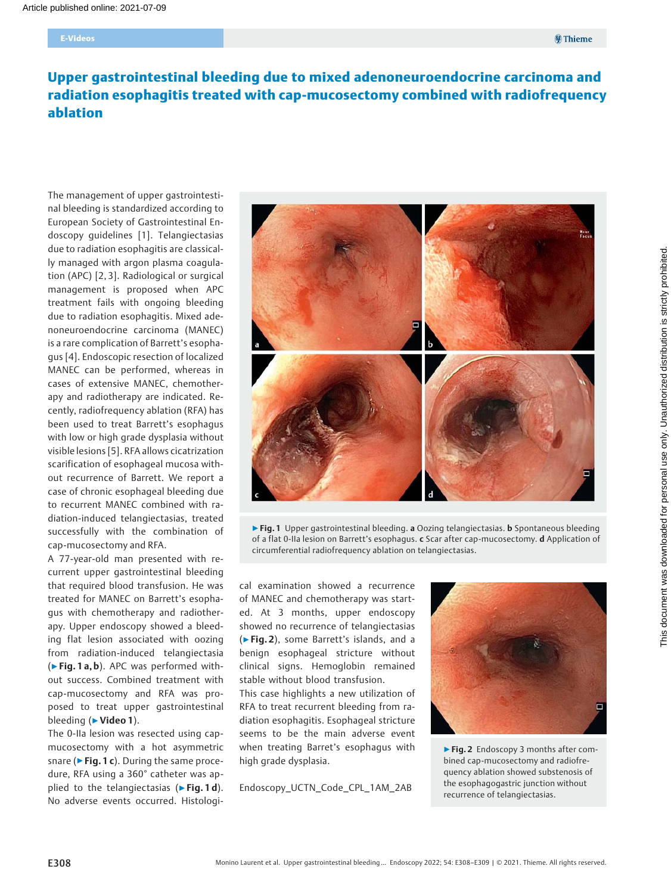# Upper gastrointestinal bleeding due to mixed adenoneuroendocrine carcinoma and radiation esophagitis treated with cap-mucosectomy combined with radiofrequency ablation

The management of upper gastrointestinal bleeding is standardized according to European Society of Gastrointestinal Endoscopy guidelines [1]. Telangiectasias due to radiation esophagitis are classically managed with argon plasma coagulation (APC) [2, 3]. Radiological or surgical management is proposed when APC treatment fails with ongoing bleeding due to radiation esophagitis. Mixed adenoneuroendocrine carcinoma (MANEC) is a rare complication of Barrett's esophagus [4]. Endoscopic resection of localized MANEC can be performed, whereas in cases of extensive MANEC, chemotherapy and radiotherapy are indicated. Recently, radiofrequency ablation (RFA) has been used to treat Barrett's esophagus with low or high grade dysplasia without visible lesions [5]. RFA allows cicatrization scarification of esophageal mucosa without recurrence of Barrett. We report a case of chronic esophageal bleeding due to recurrent MANEC combined with radiation-induced telangiectasias, treated successfully with the combination of cap-mucosectomy and RFA.

A 77-year-old man presented with recurrent upper gastrointestinal bleeding that required blood transfusion. He was treated for MANEC on Barrett's esophagus with chemotherapy and radiotherapy. Upper endoscopy showed a bleeding flat lesion associated with oozing from radiation-induced telangiectasia (▶Fig. 1 a, b). APC was performed without success. Combined treatment with cap-mucosectomy and RFA was proposed to treat upper gastrointestinal bleeding (▶Video 1).

The 0-IIa lesion was resected using capmucosectomy with a hot asymmetric snare ( $\blacktriangleright$  Fig. 1 c). During the same procedure, RFA using a 360° catheter was applied to the telangiectasias ( $\triangleright$  Fig. 1 d). No adverse events occurred. Histologi-



▶ Fig. 1 Upper gastrointestinal bleeding. a Oozing telangiectasias. b Spontaneous bleeding of a flat 0-IIa lesion on Barrett's esophagus. c Scar after cap-mucosectomy. d Application of circumferential radiofrequency ablation on telangiectasias.

cal examination showed a recurrence of MANEC and chemotherapy was started. At 3 months, upper endoscopy showed no recurrence of telangiectasias (▶Fig. 2), some Barrett's islands, and a benign esophageal stricture without clinical signs. Hemoglobin remained stable without blood transfusion.

This case highlights a new utilization of RFA to treat recurrent bleeding from radiation esophagitis. Esophageal stricture seems to be the main adverse event when treating Barret's esophagus with high grade dysplasia.

Endoscopy\_UCTN\_Code\_CPL\_1AM\_2AB



▶ Fig. 2 Endoscopy 3 months after combined cap-mucosectomy and radiofrequency ablation showed substenosis of the esophagogastric junction without recurrence of telangiectasias.